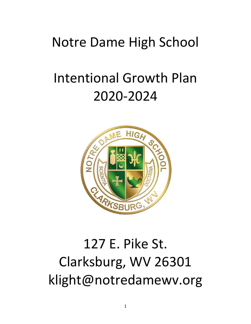# Notre Dame High School

# Intentional Growth Plan 2020-2024



# 127 E. Pike St. Clarksburg, WV 26301 klight@notredamewv.org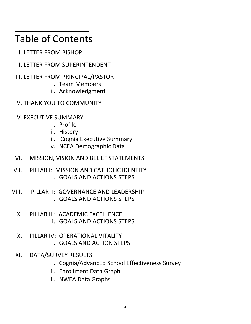# Table of Contents

- I. LETTER FROM BISHOP
- II. LETTER FROM SUPERINTENDENT
- III. LETTER FROM PRINCIPAL/PASTOR
	- i. Team Members
	- ii. Acknowledgment
- IV. THANK YOU TO COMMUNITY
- V. EXECUTIVE SUMMARY
	- i. Profile
	- ii. History
	- iii. Cognia Executive Summary
	- iv. NCEA Demographic Data
- VI. MISSION, VISION AND BELIEF STATEMENTS
- VII. PILLAR I: MISSION AND CATHOLIC IDENTITY i. GOALS AND ACTIONS STEPS
- VIII. PILLAR II: GOVERNANCE AND LEADERSHIP i. GOALS AND ACTIONS STEPS
	- IX. PILLAR III: ACADEMIC EXCELLENCE i. GOALS AND ACTIONS STEPS
	- X. PILLAR IV: OPERATIONAL VITALITY i. GOALS AND ACTION STEPS
	- XI. DATA/SURVEY RESULTS
		- i. Cognia/AdvancEd School Effectiveness Survey
		- ii. Enrollment Data Graph
		- iii. NWEA Data Graphs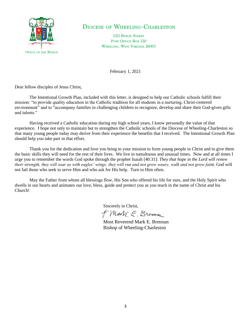

### **DIOCESE OF WHEELING-CHARLESTON**

**1311 BYRON STREET** POST OFFICE BOX 230 WHEELING, WEST VIRGINIA 26003

February 1, 2021

Dear fellow disciples of Jesus Christ,

The Intentional Growth Plan, included with this letter, is designed to help our Catholic schools fulfill their mission: "to provide quality education in the Catholic tradition for all students in a nurturing, Christ-centered environment" and to "accompany families in challenging children to recognize, develop and share their God-given gifts and talents."

Having received a Catholic education during my high school years, I know personally the value of that experience. I hope not only to maintain but to strengthen the Catholic schools of the Diocese of Wheeling-Charleston so that many young people today may derive from their experience the benefits that I received. The Intentional Growth Plan should help you take part in that effort.

Thank you for the dedication and love you bring to your mission to form young people in Christ and to give them the basic skills they will need for the rest of their lives. We live in tumultuous and unusual times. Now and at all times I urge you to remember the words God spoke through the prophet Isaiah [40:31]: *They that hope in the Lord will renew their strength, they will soar as with eagles' wings; they will run and not grow weary, walk and not grow faint.* God will not fail those who seek to serve Him and who ask for His help. Turn to Him often.

May the Father from whom all blessings flow, His Son who offered his life for ours, and the Holy Spirit who dwells in our hearts and animates our love, bless, guide and protect you as you teach in the name of Christ and his Church!

Sincerely in Christ,

+ Mark E. Brennan

Most Reverend Mark E. Brennan Bishop of Wheeling-Charleston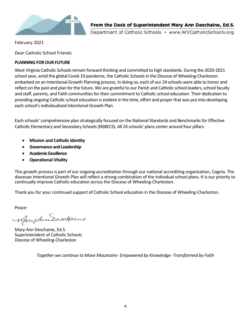

Department of Catholic Schools • www.WVCatholicSchools.org

February 2021

Dear Catholic School Friends

#### **PLANNING FOR OUR FUTURE**

West Virginia Catholic Schools remain forward thinking and committed to high standards. During the 2020-2021 school year, amid the global Covid-19 pandemic, the Catholic Schools in the Diocese of Wheeling-Charleston embarked on an Intentional Growth Planning process. In doing so, each of our 24 schools were able to honor and reflect on the past and plan for the future. We are grateful to our Parish and Catholic school leaders, school faculty and staff, parents, and Faith communities for their commitment to Catholic school education. Their dedication to providing ongoing Catholic school education is evident in the time, effort and prayer that was put into developing each school's individualized Intentional Growth Plan.

Each schools' comprehensive plan strategically focused on the National Standards and Benchmarks for Effective Catholic Elementary and Secondary Schools (NSBECS). All 24 schools' plans center around four pillars:

- **Mission and Catholic Identity**
- **Governance and Leadership**
- **Academic Excellence**
- **Operational Vitality**

This growth process is part of our ongoing accreditation through our national accrediting organization, Cognia. The diocesan Intentional Growth Plan will reflect a strong combination of the individual school plans. It is our priority to continually improve Catholic education across the Diocese of Wheeling-Charleston.

Thank you for your continued support of Catholic School education in the Diocese of Wheeling-Charleston.

Peace-

Maryhundexhaine

Mary Ann Deschaine, Ed.S. Superintendent of Catholic Schools Diocese of Wheeling-Charleston

*Together we continue to Move Mountains- Empowered by Knowledge -Transformed by Faith*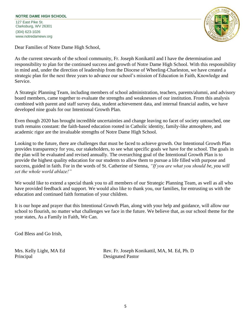#### **NOTRE DAME HIGH SCHOOL**

127 East Pike St. Clarksburg, WV 26301 (304) 623-1026 www.notredamewv.org



Dear Families of Notre Dame High School,

As the current stewards of the school community, Fr. Joseph Konikattil and I have the determination and responsibility to plan for the continued success and growth of Notre Dame High School. With this responsibility in mind and, under the direction of leadership from the Diocese of Wheeling-Charleston, we have created a strategic plan for the next three years to advance our school's mission of Education in Faith, Knowledge and Service.

A Strategic Planning Team, including members of school administration, teachers, parents/alumni, and advisory board members, came together to evaluate the strengths and weaknesses of our institution. From this analysis combined with parent and staff survey data, student achievement data, and internal financial audits, we have developed nine goals for our Intentional Growth Plan.

Even though 2020 has brought incredible uncertainties and change leaving no facet of society untouched, one truth remains constant: the faith-based education rooted in Catholic identity, family-like atmosphere, and academic rigor are the invaluable strengths of Notre Dame High School.

Looking to the future, there are challenges that must be faced to achieve growth. Our Intentional Growth Plan provides transparency for you, our stakeholders, to see what specific goals we have for the school. The goals in the plan will be evaluated and revised annually. The overarching goal of the Intentional Growth Plan is to provide the highest quality education for our students to allow them to pursue a life filled with purpose and success, guided in faith. For in the words of St. Catherine of Sienna, *"If you are what you should be, you will set the whole world ablaze!"*

We would like to extend a special thank you to all members of our Strategic Planning Team, as well as all who have provided feedback and support. We would also like to thank you, our families, for entrusting us with the education and continued faith formation of your children.

It is our hope and prayer that this Intentional Growth Plan, along with your help and guidance, will allow our school to flourish, no matter what challenges we face in the future. We believe that, as our school theme for the year states, As a Family in Faith, We Can.

God Bless and Go Irish,

Principal Designated Pastor

Mrs. Kelly Light, MA Ed Rev. Fr. Joseph Konikattil, MA, M. Ed, Ph. D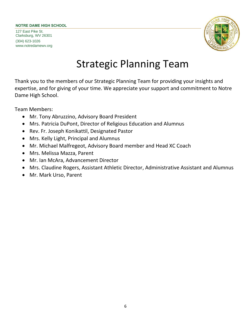#### **NOTRE DAME HIGH SCHOOL**

127 East Pike St. Clarksburg, WV 26301 (304) 623-1026 www.notredamewv.org



# Strategic Planning Team

Thank you to the members of our Strategic Planning Team for providing your insights and expertise, and for giving of your time. We appreciate your support and commitment to Notre Dame High School.

Team Members:

- Mr. Tony Abruzzino, Advisory Board President
- Mrs. Patricia DuPont, Director of Religious Education and Alumnus
- Rev. Fr. Joseph Konikattil, Designated Pastor
- Mrs. Kelly Light, Principal and Alumnus
- Mr. Michael Malfregeot, Advisory Board member and Head XC Coach
- Mrs. Melissa Mazza, Parent
- Mr. Ian McAra, Advancement Director
- Mrs. Claudine Rogers, Assistant Athletic Director, Administrative Assistant and Alumnus
- Mr. Mark Urso, Parent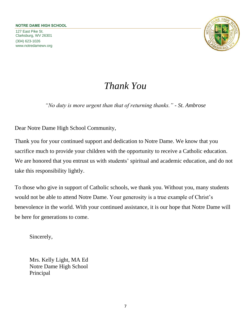127 East Pike St. Clarksburg, WV 26301 (304) 623-1026 www.notredamewv.org



# *Thank You*

*"No duty is more urgent than that of returning thanks." - St. Ambrose*

Dear Notre Dame High School Community,

Thank you for your continued support and dedication to Notre Dame. We know that you sacrifice much to provide your children with the opportunity to receive a Catholic education. We are honored that you entrust us with students' spiritual and academic education, and do not take this responsibility lightly.

To those who give in support of Catholic schools, we thank you. Without you, many students would not be able to attend Notre Dame. Your generosity is a true example of Christ's benevolence in the world. With your continued assistance, it is our hope that Notre Dame will be here for generations to come.

Sincerely,

Mrs. Kelly Light, MA Ed Notre Dame High School Principal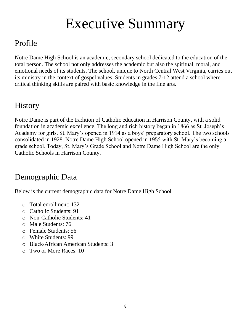# Executive Summary

# Profile

Notre Dame High School is an academic, secondary school dedicated to the education of the total person. The school not only addresses the academic but also the spiritual, moral, and emotional needs of its students. The school, unique to North Central West Virginia, carries out its ministry in the context of gospel values. Students in grades 7-12 attend a school where critical thinking skills are paired with basic knowledge in the fine arts.

# **History**

Notre Dame is part of the tradition of Catholic education in Harrison County, with a solid foundation in academic excellence. The long and rich history began in 1866 as St. Joseph's Academy for girls. St. Mary's opened in 1914 as a boys' preparatory school. The two schools consolidated in 1928. Notre Dame High School opened in 1955 with St. Mary's becoming a grade school. Today, St. Mary's Grade School and Notre Dame High School are the only Catholic Schools in Harrison County.

# Demographic Data

Below is the current demographic data for Notre Dame High School

- o Total enrollment: 132
- o Catholic Students: 91
- o Non-Catholic Students: 41
- o Male Students: 76
- o Female Students: 56
- o White Students: 99
- o Black/African American Students: 3
- o Two or More Races: 10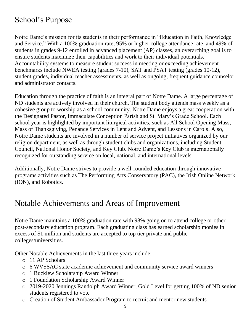# School's Purpose

Notre Dame's mission for its students in their performance in "Education in Faith, Knowledge and Service." With a 100% graduation rate, 95% or higher college attendance rate, and 49% of students in grades 9-12 enrolled in advanced placement (AP) classes, an overarching goal is to ensure students maximize their capabilities and work to their individual potentials. Accountability systems to measure student success in meeting or exceeding achievement benchmarks include NWEA testing (grades 7-10), SAT and PSAT testing (grades 10-12), student grades, individual teacher assessments, as well as ongoing, frequent guidance counselor and administrator contacts.

Education through the practice of faith is an integral part of Notre Dame. A large percentage of ND students are actively involved in their church. The student body attends mass weekly as a cohesive group to worship as a school community. Notre Dame enjoys a great cooperation with the Designated Pastor, Immaculate Conception Parish and St. Mary's Grade School. Each school year is highlighted by important liturgical activities, such as All School Opening Mass, Mass of Thanksgiving, Penance Services in Lent and Advent, and Lessons in Carols. Also, Notre Dame students are involved in a number of service project initiatives organized by our religion department, as well as through student clubs and organizations, including Student Council, National Honor Society, and Key Club. Notre Dame's Key Club is internationally recognized for outstanding service on local, national, and international levels.

Additionally, Notre Dame strives to provide a well-rounded education through innovative programs activities such as The Performing Arts Conservatory (PAC), the Irish Online Network (ION), and Robotics.

## Notable Achievements and Areas of Improvement

Notre Dame maintains a 100% graduation rate with 98% going on to attend college or other post-secondary education program. Each graduating class has earned scholarship monies in excess of \$1 million and students are accepted to top tier private and public colleges/universities.

Other Notable Achievements in the last three years include:

- o 11 AP Scholars
- o 6 WVSSAC state academic achievement and community service award winners
- o 1 Bucklew Scholarship Award Winner
- o 1 Foundation Scholarship Award Winner
- o 2019-2020 Jennings Randolph Award Winner, Gold Level for getting 100% of ND senior students registered to vote
- o Creation of Student Ambassador Program to recruit and mentor new students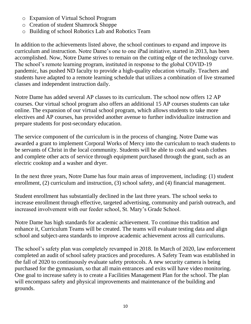- o Expansion of Virtual School Program
- o Creation of student Shamrock Shoppe
- o Building of school Robotics Lab and Robotics Team

In addition to the achievements listed above, the school continues to expand and improve its curriculum and instruction. Notre Dame's one to one iPad initiative, started in 2013, has been accomplished. Now, Notre Dame strives to remain on the cutting edge of the technology curve. The school's remote learning program, instituted in response to the global COVID-19 pandemic, has pushed ND faculty to provide a high-quality education virtually. Teachers and students have adapted to a remote learning schedule that utilizes a combination of live streamed classes and independent instruction daily.

Notre Dame has added several AP classes to its curriculum. The school now offers 12 AP courses. Our virtual school program also offers an additional 15 AP courses students can take online. The expansion of our virtual school program, which allows students to take more electives and AP courses, has provided another avenue to further individualize instruction and prepare students for post-secondary education.

The service component of the curriculum is in the process of changing. Notre Dame was awarded a grant to implement Corporal Works of Mercy into the curriculum to teach students to be servants of Christ in the local community. Students will be able to cook and wash clothes and complete other acts of service through equipment purchased through the grant, such as an electric cooktop and a washer and dryer.

In the next three years, Notre Dame has four main areas of improvement, including: (1) student enrollment, (2) curriculum and instruction, (3) school safety, and (4) financial management.

Student enrollment has substantially declined in the last three years. The school seeks to increase enrollment through effective, targeted advertising, community and parish outreach, and increased involvement with our feeder school, St. Mary's Grade School.

Notre Dame has high standards for academic achievement. To continue this tradition and enhance it, Curriculum Teams will be created. The teams will evaluate testing data and align school and subject-area standards to improve academic achievement across all curriculums.

The school's safety plan was completely revamped in 2018. In March of 2020, law enforcement completed an audit of school safety practices and procedures. A Safety Team was established in the fall of 2020 to continuously evaluate safety protocols. A new security camera is being purchased for the gymnasium, so that all main entrances and exits will have video monitoring. One goal to increase safety is to create a Facilities Management Plan for the school. The plan will encompass safety and physical improvements and maintenance of the building and grounds.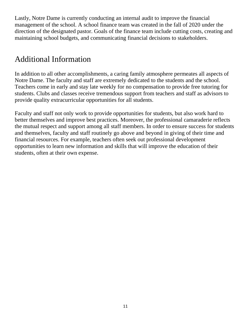Lastly, Notre Dame is currently conducting an internal audit to improve the financial management of the school. A school finance team was created in the fall of 2020 under the direction of the designated pastor. Goals of the finance team include cutting costs, creating and maintaining school budgets, and communicating financial decisions to stakeholders.

# Additional Information

In addition to all other accomplishments, a caring family atmosphere permeates all aspects of Notre Dame. The faculty and staff are extremely dedicated to the students and the school. Teachers come in early and stay late weekly for no compensation to provide free tutoring for students. Clubs and classes receive tremendous support from teachers and staff as advisors to provide quality extracurricular opportunities for all students.

Faculty and staff not only work to provide opportunities for students, but also work hard to better themselves and improve best practices. Moreover, the professional camaraderie reflects the mutual respect and support among all staff members. In order to ensure success for students and themselves, faculty and staff routinely go above and beyond in giving of their time and financial resources. For example, teachers often seek out professional development opportunities to learn new information and skills that will improve the education of their students, often at their own expense.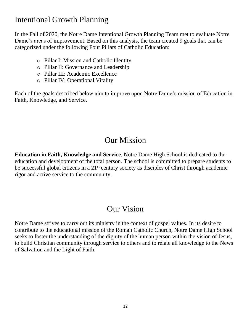# Intentional Growth Planning

In the Fall of 2020, the Notre Dame Intentional Growth Planning Team met to evaluate Notre Dame's areas of improvement. Based on this analysis, the team created 9 goals that can be categorized under the following Four Pillars of Catholic Education:

- o Pillar I: Mission and Catholic Identity
- o Pillar II: Governance and Leadership
- o Pillar III: Academic Excellence
- o Pillar IV: Operational Vitality

Each of the goals described below aim to improve upon Notre Dame's mission of Education in Faith, Knowledge, and Service.

## Our Mission

**Education in Faith, Knowledge and Service**. Notre Dame High School is dedicated to the education and development of the total person. The school is committed to prepare students to be successful global citizens in a 21<sup>st</sup> century society as disciples of Christ through academic rigor and active service to the community.

## Our Vision

Notre Dame strives to carry out its ministry in the context of gospel values. In its desire to contribute to the educational mission of the Roman Catholic Church, Notre Dame High School seeks to foster the understanding of the dignity of the human person within the vision of Jesus, to build Christian community through service to others and to relate all knowledge to the News of Salvation and the Light of Faith.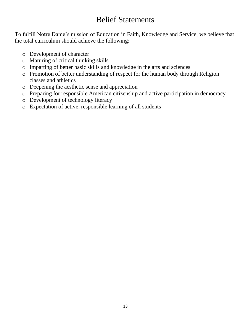## Belief Statements

To fulfill Notre Dame's mission of Education in Faith, Knowledge and Service, we believe that the total curriculum should achieve the following:

- o Development of character
- o Maturing of critical thinking skills
- o Imparting of better basic skills and knowledge in the arts and sciences
- o Promotion of better understanding of respect for the human body through Religion classes and athletics
- o Deepening the aesthetic sense and appreciation
- o Preparing for responsible American citizenship and active participation in democracy
- o Development of technology literacy
- o Expectation of active, responsible learning of all students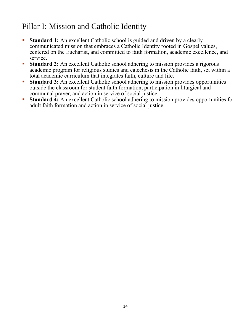# Pillar I: Mission and Catholic Identity

- **Example 1:** An excellent Catholic school is guided and driven by a clearly communicated mission that embraces a Catholic Identity rooted in Gospel values, centered on the Eucharist, and committed to faith formation, academic excellence, and service.
- **Standard 2:** An excellent Catholic school adhering to mission provides a rigorous academic program for religious studies and catechesis in the Catholic faith, set within a total academic curriculum that integrates faith, culture and life.
- **Example 1 Standard 3:** An excellent Catholic school adhering to mission provides opportunities outside the classroom for student faith formation, participation in liturgical and communal prayer, and action in service of social justice.
- **Example 1:** An excellent Catholic school adhering to mission provides opportunities for adult faith formation and action in service of social justice.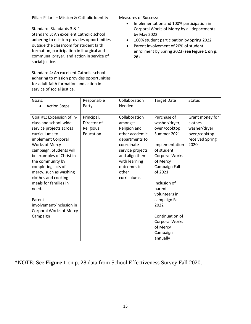| Pillar: Pillar I - Mission & Catholic Identity<br>Standard: Standards 3 & 4<br>Standard 3: An excellent Catholic school<br>adhering to mission provides opportunities<br>outside the classroom for student faith<br>formation, participation in liturgical and<br>communal prayer, and action in service of<br>social justice.<br>Standard 4: An excellent Catholic school<br>adhering to mission provides opportunities<br>for adult faith formation and action in<br>service of social justice. |                                                     | <b>Measures of Success:</b><br>by May 2022<br>٠<br>$\bullet$<br>28)                                                                                                                      | Implementation and 100% participation in<br>Corporal Works of Mercy by all departments<br>100% student participation by Spring 2022<br>Parent involvement of 20% of student<br>enrollment by Spring 2023 (see Figure 1 on p.                                                                                     |                                                                                        |
|---------------------------------------------------------------------------------------------------------------------------------------------------------------------------------------------------------------------------------------------------------------------------------------------------------------------------------------------------------------------------------------------------------------------------------------------------------------------------------------------------|-----------------------------------------------------|------------------------------------------------------------------------------------------------------------------------------------------------------------------------------------------|------------------------------------------------------------------------------------------------------------------------------------------------------------------------------------------------------------------------------------------------------------------------------------------------------------------|----------------------------------------------------------------------------------------|
| Goals:<br><b>Action Steps</b><br>$\bullet$                                                                                                                                                                                                                                                                                                                                                                                                                                                        | Responsible<br>Party                                | Collaboration<br>Needed                                                                                                                                                                  | <b>Target Date</b>                                                                                                                                                                                                                                                                                               | <b>Status</b>                                                                          |
| Goal #1: Expansion of in-<br>class and school-wide<br>service projects across<br>curriculums to<br>implement Corporal<br><b>Works of Mercy</b><br>campaign. Students will<br>be examples of Christ in<br>the community by<br>completing acts of<br>mercy, such as washing<br>clothes and cooking<br>meals for families in<br>need.<br>Parent<br>involvement/inclusion in<br><b>Corporal Works of Mercy</b><br>Campaign                                                                            | Principal,<br>Director of<br>Religious<br>Education | Collaboration<br>amongst<br>Religion and<br>other academic<br>departments to<br>coordinate<br>service projects<br>and align them<br>with learning<br>outcomes in<br>other<br>curriculums | Purchase of<br>washer/dryer,<br>oven/cooktop<br>Summer 2021<br>Implementation<br>of student<br><b>Corporal Works</b><br>of Mercy<br>Campaign Fall<br>of 2021<br>Inclusion of<br>parent<br>volunteers in<br>campaign Fall<br>2022<br>Continuation of<br><b>Corporal Works</b><br>of Mercy<br>Campaign<br>annually | Grant money for<br>clothes<br>washer/dryer,<br>oven/cooktop<br>received Spring<br>2020 |

\*NOTE: See **Figure 1** on p. 28 data from School Effectiveness Survey Fall 2020.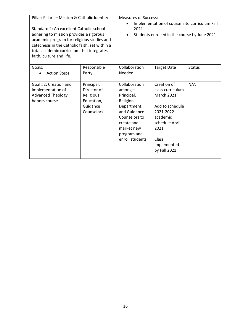| Pillar: Pillar I - Mission & Catholic Identity<br>Standard 2: An excellent Catholic school<br>adhering to mission provides a rigorous<br>academic program for religious studies and<br>catechesis in the Catholic faith, set within a<br>total academic curriculum that integrates<br>faith, culture and life. |                                                                                | <b>Measures of Success:</b><br>2021<br>$\bullet$                                                                                                                 | Implementation of course into curriculum Fall<br>Students enrolled in the course by June 2021                                                                      |               |
|----------------------------------------------------------------------------------------------------------------------------------------------------------------------------------------------------------------------------------------------------------------------------------------------------------------|--------------------------------------------------------------------------------|------------------------------------------------------------------------------------------------------------------------------------------------------------------|--------------------------------------------------------------------------------------------------------------------------------------------------------------------|---------------|
| Goals:<br><b>Action Steps</b>                                                                                                                                                                                                                                                                                  | Responsible<br>Party                                                           | Collaboration<br>Needed                                                                                                                                          | <b>Target Date</b>                                                                                                                                                 | <b>Status</b> |
| Goal #2: Creation and<br>implementation of<br><b>Advanced Theology</b><br>honors course                                                                                                                                                                                                                        | Principal,<br>Director of<br>Religious<br>Education,<br>Guidance<br>Counselors | Collaboration<br>amongst<br>Principal,<br>Religion<br>Department,<br>and Guidance<br>Counselors to<br>create and<br>market new<br>program and<br>enroll students | Creation of<br>class curriculum<br><b>March 2021</b><br>Add to schedule<br>2021-2022<br>academic<br>schedule April<br>2021<br>Class<br>implemented<br>by Fall 2021 | N/A           |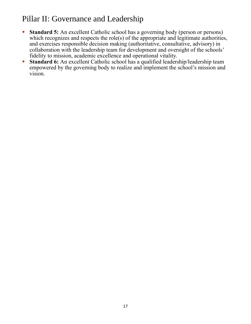# Pillar II: Governance and Leadership

- **Example 15:** An excellent Catholic school has a governing body (person or persons) which recognizes and respects the role(s) of the appropriate and legitimate authorities, and exercises responsible decision making (authoritative, consultative, advisory) in collaboration with the leadership team for development and oversight of the schools' fidelity to mission, academic excellence and operational vitality.
- **Example 1 Standard 6:** An excellent Catholic school has a qualified leadership/leadership team empowered by the governing body to realize and implement the school's mission and vision.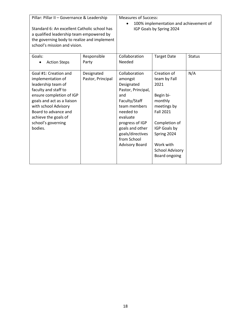| Pillar: Pillar II - Governance & Leadership  |                   | <b>Measures of Success:</b>            |                          |               |
|----------------------------------------------|-------------------|----------------------------------------|--------------------------|---------------|
|                                              |                   | 100% implementation and achievement of |                          |               |
| Standard 6: An excellent Catholic school has |                   |                                        | IGP Goals by Spring 2024 |               |
| a qualified leadership team empowered by     |                   |                                        |                          |               |
| the governing body to realize and implement  |                   |                                        |                          |               |
| school's mission and vision.                 |                   |                                        |                          |               |
|                                              |                   |                                        |                          |               |
| Goals:                                       | Responsible       | Collaboration                          | <b>Target Date</b>       | <b>Status</b> |
| <b>Action Steps</b>                          | Party             | Needed                                 |                          |               |
|                                              |                   |                                        |                          |               |
| Goal #1: Creation and                        | Designated        | Collaboration                          | Creation of              | N/A           |
| implementation of                            | Pastor, Principal | amongst                                | team by Fall             |               |
| leadership team of                           |                   | Designated                             | 2021                     |               |
| faculty and staff to                         |                   | Pastor, Principal,                     |                          |               |
| ensure completion of IGP                     |                   | and                                    | Begin bi-                |               |
| goals and act as a liaison                   |                   | Faculty/Staff                          | monthly                  |               |
| with school Advisory                         |                   | team members                           | meetings by              |               |
| Board to advance and                         |                   | needed to                              | <b>Fall 2021</b>         |               |
| achieve the goals of                         |                   | evaluate                               |                          |               |
| school's governing                           |                   | progress of IGP                        | Completion of            |               |
| bodies.                                      |                   | goals and other                        | IGP Goals by             |               |
|                                              |                   | goals/directives                       | Spring 2024              |               |
|                                              |                   | from School                            |                          |               |
|                                              |                   | <b>Advisory Board</b>                  | Work with                |               |
|                                              |                   |                                        | <b>School Advisory</b>   |               |
|                                              |                   |                                        | Board ongoing            |               |
|                                              |                   |                                        |                          |               |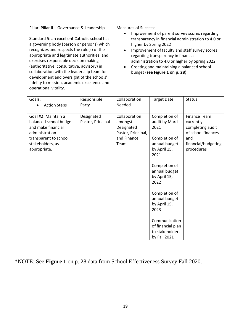| Pillar: Pillar II - Governance & Leadership<br>Standard 5: an excellent Catholic school has<br>a governing body (person or persons) which<br>recognizes and respects the role(s) of the<br>appropriate and legitimate authorities, and<br>exercises responsible decision making<br>(authoritative, consultative, advisory) in<br>collaboration with the leadership team for<br>development and oversight of the schools'<br>fidelity to mission, academic excellence and<br>operational vitality. |                                 | <b>Measures of Success:</b><br>Improvement of parent survey scores regarding<br>transparency in financial administration to 4.0 or<br>higher by Spring 2022<br>Improvement of faculty and staff survey scores<br>regarding transparency in financial<br>administration to 4.0 or higher by Spring 2022<br>Creating and maintaining a balanced school<br>budget (see Figure 1 on p. 28) |                                                                                                                                                                                                                                                                                                |                                                                                                                        |
|---------------------------------------------------------------------------------------------------------------------------------------------------------------------------------------------------------------------------------------------------------------------------------------------------------------------------------------------------------------------------------------------------------------------------------------------------------------------------------------------------|---------------------------------|----------------------------------------------------------------------------------------------------------------------------------------------------------------------------------------------------------------------------------------------------------------------------------------------------------------------------------------------------------------------------------------|------------------------------------------------------------------------------------------------------------------------------------------------------------------------------------------------------------------------------------------------------------------------------------------------|------------------------------------------------------------------------------------------------------------------------|
| Goals:<br><b>Action Steps</b>                                                                                                                                                                                                                                                                                                                                                                                                                                                                     | Responsible<br>Party            | Collaboration<br>Needed                                                                                                                                                                                                                                                                                                                                                                | <b>Target Date</b>                                                                                                                                                                                                                                                                             | <b>Status</b>                                                                                                          |
| Goal #2: Maintain a<br>balanced school budget<br>and make financial<br>administration<br>transparent to school<br>stakeholders, as<br>appropriate.                                                                                                                                                                                                                                                                                                                                                | Designated<br>Pastor, Principal | Collaboration<br>amongst<br>Designated<br>Pastor, Principal,<br>and Finance<br>Team                                                                                                                                                                                                                                                                                                    | Completion of<br>audit by March<br>2021<br>Completion of<br>annual budget<br>by April 15,<br>2021<br>Completion of<br>annual budget<br>by April 15,<br>2022<br>Completion of<br>annual budget<br>by April 15,<br>2023<br>Communication<br>of financial plan<br>to stakeholders<br>by Fall 2021 | <b>Finance Team</b><br>currently<br>completing audit<br>of school finances<br>and<br>financial/budgeting<br>procedures |

\*NOTE: See **Figure 1** on p. 28 data from School Effectiveness Survey Fall 2020.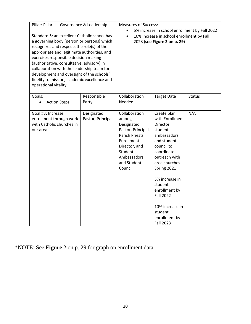| Pillar: Pillar II - Governance & Leadership<br>Standard 5: an excellent Catholic school has<br>a governing body (person or persons) which<br>recognizes and respects the role(s) of the<br>appropriate and legitimate authorities, and<br>exercises responsible decision making<br>(authoritative, consultative, advisory) in<br>collaboration with the leadership team for<br>development and oversight of the schools'<br>fidelity to mission, academic excellence and |                                 | <b>Measures of Success:</b><br>5% increase in school enrollment by Fall 2022<br>10% increase in school enrollment by Fall<br>$\bullet$<br>2023 (see Figure 2 on p. 29) |                                                                                                                                                                                                                                                                                                         |               |
|--------------------------------------------------------------------------------------------------------------------------------------------------------------------------------------------------------------------------------------------------------------------------------------------------------------------------------------------------------------------------------------------------------------------------------------------------------------------------|---------------------------------|------------------------------------------------------------------------------------------------------------------------------------------------------------------------|---------------------------------------------------------------------------------------------------------------------------------------------------------------------------------------------------------------------------------------------------------------------------------------------------------|---------------|
| operational vitality.                                                                                                                                                                                                                                                                                                                                                                                                                                                    |                                 |                                                                                                                                                                        |                                                                                                                                                                                                                                                                                                         |               |
| Goals:<br><b>Action Steps</b><br>$\bullet$                                                                                                                                                                                                                                                                                                                                                                                                                               | Responsible<br>Party            | Collaboration<br>Needed                                                                                                                                                | <b>Target Date</b>                                                                                                                                                                                                                                                                                      | <b>Status</b> |
| Goal #3: Increase<br>enrollment through work<br>with Catholic churches in<br>our area.                                                                                                                                                                                                                                                                                                                                                                                   | Designated<br>Pastor, Principal | Collaboration<br>amongst<br>Designated<br>Pastor, Principal,<br>Parish Priests,<br>Enrollment<br>Director, and<br>Student<br>Ambassadors<br>and Student<br>Council     | Create plan<br>with Enrollment<br>Director,<br>student<br>ambassadors,<br>and student<br>council to<br>coordinate<br>outreach with<br>area churches<br>Spring 2021<br>5% increase in<br>student<br>enrollment by<br><b>Fall 2022</b><br>10% increase in<br>student<br>enrollment by<br><b>Fall 2023</b> | N/A           |

\*NOTE: See **Figure 2** on p. 29 for graph on enrollment data.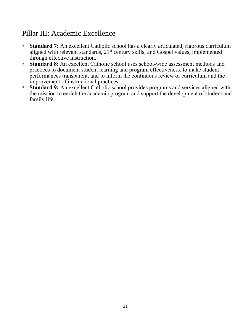### Pillar III: Academic Excellence

- **Standard 7:** An excellent Catholic school has a clearly articulated, rigorous curriculum aligned with relevant standards, 21<sup>st</sup> century skills, and Gospel values, implemented through effective instruction.
- **Example 1 Standard 8:** An excellent Catholic school uses school-wide assessment methods and practices to document student learning and program effectiveness, to make student performances transparent, and to inform the continuous review of curriculum and the improvement of instructional practices.
- **Example 1 Standard 9:** An excellent Catholic school provides programs and services aligned with the mission to enrich the academic program and support the development of student and family life.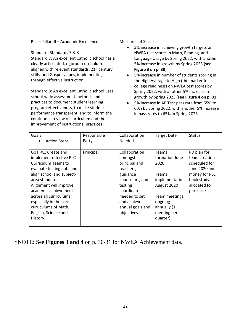| Pillar: Pillar III - Academic Excellence                                                                                                                                                                                                                                                                                                                                                                                                                                                                                                                                         |                      | <b>Measures of Success:</b>                                                                                                                                                                                                                                                                                                                                                                                                                                                                                                                                                                      |                                                                                                                                                 |                                                                                                                            |
|----------------------------------------------------------------------------------------------------------------------------------------------------------------------------------------------------------------------------------------------------------------------------------------------------------------------------------------------------------------------------------------------------------------------------------------------------------------------------------------------------------------------------------------------------------------------------------|----------------------|--------------------------------------------------------------------------------------------------------------------------------------------------------------------------------------------------------------------------------------------------------------------------------------------------------------------------------------------------------------------------------------------------------------------------------------------------------------------------------------------------------------------------------------------------------------------------------------------------|-------------------------------------------------------------------------------------------------------------------------------------------------|----------------------------------------------------------------------------------------------------------------------------|
| Standard: Standards 7 & 8<br>Standard 7: An excellent Catholic school has a<br>clearly articulated, rigorous curriculum<br>aligned with relevant standards, 21 <sup>st</sup> century<br>skills, and Gospel values, implementing<br>through effective instruction.<br>Standard 8: An excellent Catholic school uses<br>school-wide assessment methods and<br>practices to document student learning<br>program effectiveness, to make student<br>performance transparent, and to inform the<br>continuous review of curriculum and the<br>improvement of instructional practices. |                      | 5% increase in achieving growth targets on<br>$\bullet$<br>NWEA test scores in Math, Reading, and<br>Language Usage by Spring 2022, with another<br>5% increase in growth by Spring 2023 (see<br>Figure 3 on p. 30)<br>5% increase in number of students scoring in<br>the High Average to High (the marker for<br>college readiness) on NWEA test scores by<br>Spring 2022, with another 5% increase in<br>growth by Spring 2023 (see Figure 4 on p. 31)<br>5% increase in AP Test pass rate from 55% to<br>60% by Spring 2022, with another 5% increase<br>in pass rates to 65% in Spring 2023 |                                                                                                                                                 |                                                                                                                            |
| Goals:<br><b>Action Steps</b><br>$\bullet$                                                                                                                                                                                                                                                                                                                                                                                                                                                                                                                                       | Responsible<br>Party | Collaboration<br>Needed                                                                                                                                                                                                                                                                                                                                                                                                                                                                                                                                                                          | <b>Target Date</b>                                                                                                                              | <b>Status</b>                                                                                                              |
| Goal #1: Create and<br>implement effective PLC<br><b>Curriculum Teams to</b><br>evaluate testing data and<br>align school and subject-<br>area standards.<br>Alignment will improve<br>academic achievement<br>across all curriculums,<br>especially in the core<br>curriculums of Math,<br>English, Science and<br>History.                                                                                                                                                                                                                                                     | Principal            | Collaboration<br>amongst<br>principal and<br>teachers,<br>guidance<br>counselors, and<br>testing<br>coordinator<br>needed to set<br>and achieve<br>annual goals and<br>objectives                                                                                                                                                                                                                                                                                                                                                                                                                | Teams<br>formation June<br>2020<br>Teams<br>implementation<br>August 2020<br>Team meetings<br>ongoing<br>annually (1<br>meeting per<br>quarter) | PD plan for<br>team creation<br>scheduled for<br>June 2020 and<br>money for PLC<br>book study<br>allocated for<br>purchase |

\*NOTE: See **Figures 3 and 4** on p. 30-31 for NWEA Achievement data.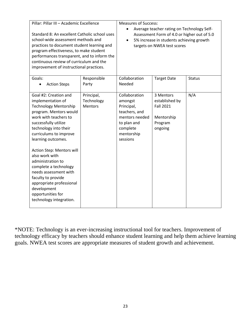| Pillar: Pillar III - Academic Excellence                                                                                                                                                                                                                                                                                                                                                                                                                              |                                            | <b>Measures of Success:</b><br>Average teacher rating on Technology Self-                                                      |                                                                                                                        |               |
|-----------------------------------------------------------------------------------------------------------------------------------------------------------------------------------------------------------------------------------------------------------------------------------------------------------------------------------------------------------------------------------------------------------------------------------------------------------------------|--------------------------------------------|--------------------------------------------------------------------------------------------------------------------------------|------------------------------------------------------------------------------------------------------------------------|---------------|
| Standard 8: An excellent Catholic school uses<br>school-wide assessment methods and<br>practices to document student learning and<br>program effectiveness, to make student<br>performances transparent, and to inform the<br>continuous review of curriculum and the<br>improvement of instructional practices.                                                                                                                                                      |                                            |                                                                                                                                | Assessment Form of 4.0 or higher out of 5.0<br>5% increase in students achieving growth<br>targets on NWEA test scores |               |
| Goals:<br><b>Action Steps</b><br>$\bullet$                                                                                                                                                                                                                                                                                                                                                                                                                            | Responsible<br>Party                       | Collaboration<br>Needed                                                                                                        | <b>Target Date</b>                                                                                                     | <b>Status</b> |
| Goal #2: Creation and<br>implementation of<br><b>Technology Mentorship</b><br>program. Mentors would<br>work with teachers to<br>successfully utilize<br>technology into their<br>curriculums to improve<br>learning outcomes.<br>Action Step: Mentors will<br>also work with<br>administration to<br>complete a technology<br>needs assessment with<br>faculty to provide<br>appropriate professional<br>development<br>opportunities for<br>technology integration. | Principal,<br>Technology<br><b>Mentors</b> | Collaboration<br>amongst<br>Principal,<br>teachers, and<br>mentors needed<br>to plan and<br>complete<br>mentorship<br>sessions | 3 Mentors<br>established by<br><b>Fall 2021</b><br>Mentorship<br>Program<br>ongoing                                    | N/A           |

\*NOTE: Technology is an ever-increasing instructional tool for teachers. Improvement of technology efficacy by teachers should enhance student learning and help them achieve learning goals. NWEA test scores are appropriate measures of student growth and achievement.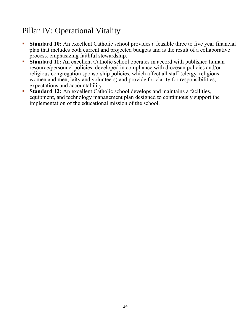# Pillar IV: Operational Vitality

- **Example 10:** An excellent Catholic school provides a feasible three to five year financial plan that includes both current and projected budgets and is the result of a collaborative process, emphasizing faithful stewardship.
- **Example 11:** An excellent Catholic school operates in accord with published human resource/personnel policies, developed in compliance with diocesan policies and/or religious congregation sponsorship policies, which affect all staff (clergy, religious women and men, laity and volunteers) and provide for clarity for responsibilities, expectations and accountability.
- **Example 12:** An excellent Catholic school develops and maintains a facilities, equipment, and technology management plan designed to continuously support the implementation of the educational mission of the school.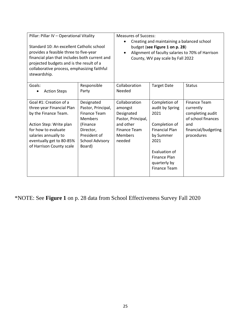| Pillar: Pillar IV - Operational Vitality<br>Standard 10: An excellent Catholic school<br>provides a feasible three to five-year<br>financial plan that includes both current and<br>projected budgets and is the result of a<br>collaborative process, emphasizing faithful<br>stewardship. |                                                                                                                                                 | <b>Measures of Success:</b><br>Creating and maintaining a balanced school<br>budget (see Figure 1 on p. 28)<br>Alignment of faculty salaries to 70% of Harrison<br>County, WV pay scale by Fall 2022 |                                                                                                                                                                                        |                                                                                                                        |
|---------------------------------------------------------------------------------------------------------------------------------------------------------------------------------------------------------------------------------------------------------------------------------------------|-------------------------------------------------------------------------------------------------------------------------------------------------|------------------------------------------------------------------------------------------------------------------------------------------------------------------------------------------------------|----------------------------------------------------------------------------------------------------------------------------------------------------------------------------------------|------------------------------------------------------------------------------------------------------------------------|
| Goals:<br><b>Action Steps</b>                                                                                                                                                                                                                                                               | Responsible<br>Party                                                                                                                            | Collaboration<br>Needed                                                                                                                                                                              | <b>Target Date</b>                                                                                                                                                                     | <b>Status</b>                                                                                                          |
| Goal #1: Creation of a<br>three-year Financial Plan<br>by the Finance Team.<br>Action Step: Write plan<br>for how to evaluate<br>salaries annually to<br>eventually get to 80-85%<br>of Harrison County scale                                                                               | Designated<br>Pastor, Principal,<br>Finance Team<br><b>Members</b><br>(Finance<br>Director,<br>President of<br><b>School Advisory</b><br>Board) | Collaboration<br>amongst<br>Designated<br>Pastor, Principal,<br>and other<br><b>Finance Team</b><br><b>Members</b><br>needed                                                                         | Completion of<br>audit by Spring<br>2021<br>Completion of<br><b>Financial Plan</b><br>by Summer<br>2021<br>Evaluation of<br><b>Finance Plan</b><br>quarterly by<br><b>Finance Team</b> | <b>Finance Team</b><br>currently<br>completing audit<br>of school finances<br>and<br>financial/budgeting<br>procedures |

\*NOTE: See **Figure 1** on p. 28 data from School Effectiveness Survey Fall 2020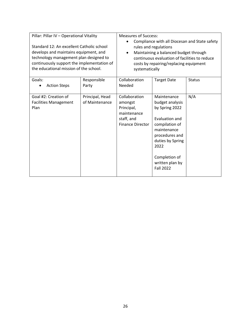| Pillar: Pillar IV - Operational Vitality                                                                                                                                                                             |                                   | <b>Measures of Success:</b>                                                                                                                                                                                                  |                                                                                                                                                                                                           |               |
|----------------------------------------------------------------------------------------------------------------------------------------------------------------------------------------------------------------------|-----------------------------------|------------------------------------------------------------------------------------------------------------------------------------------------------------------------------------------------------------------------------|-----------------------------------------------------------------------------------------------------------------------------------------------------------------------------------------------------------|---------------|
| Standard 12: An excellent Catholic school<br>develops and maintains equipment, and<br>technology management plan designed to<br>continuously support the implementation of<br>the educational mission of the school. |                                   | Compliance with all Diocesan and State safety<br>rules and regulations<br>Maintaining a balanced budget through<br>continuous evaluation of facilities to reduce<br>costs by repairing/replacing equipment<br>systematically |                                                                                                                                                                                                           |               |
| Goals:<br><b>Action Steps</b>                                                                                                                                                                                        | Responsible<br>Party              | Collaboration<br>Needed                                                                                                                                                                                                      | <b>Target Date</b>                                                                                                                                                                                        | <b>Status</b> |
| Goal #2: Creation of<br><b>Facilities Management</b><br>Plan                                                                                                                                                         | Principal, Head<br>of Maintenance | Collaboration<br>amongst<br>Principal,<br>maintenance<br>staff, and<br><b>Finance Director</b>                                                                                                                               | Maintenance<br>budget analysis<br>by Spring 2022<br>Evaluation and<br>compilation of<br>maintenance<br>procedures and<br>duties by Spring<br>2022<br>Completion of<br>written plan by<br><b>Fall 2022</b> | N/A           |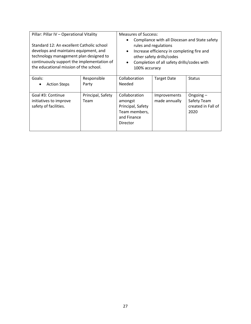| Pillar: Pillar IV - Operational Vitality<br>Standard 12: An excellent Catholic school<br>develops and maintains equipment, and<br>technology management plan designed to<br>continuously support the implementation of<br>the educational mission of the school. |                           | <b>Measures of Success:</b><br>Compliance with all Diocesan and State safety<br>rules and regulations<br>Increase efficiency in completing fire and<br>$\bullet$<br>other safety drills/codes<br>Completion of all safety drills/codes with<br>$\bullet$<br>100% accuracy |                               |                                                          |
|------------------------------------------------------------------------------------------------------------------------------------------------------------------------------------------------------------------------------------------------------------------|---------------------------|---------------------------------------------------------------------------------------------------------------------------------------------------------------------------------------------------------------------------------------------------------------------------|-------------------------------|----------------------------------------------------------|
| Goals:<br><b>Action Steps</b>                                                                                                                                                                                                                                    | Responsible<br>Party      | Collaboration<br>Needed                                                                                                                                                                                                                                                   | <b>Target Date</b>            | <b>Status</b>                                            |
| Goal #3: Continue<br>initiatives to improve<br>safety of facilities.                                                                                                                                                                                             | Principal, Safety<br>Team | Collaboration<br>amongst<br>Principal, Safety<br>Team members,<br>and Finance<br>Director                                                                                                                                                                                 | Improvements<br>made annually | Ongoing $-$<br>Safety Team<br>created in Fall of<br>2020 |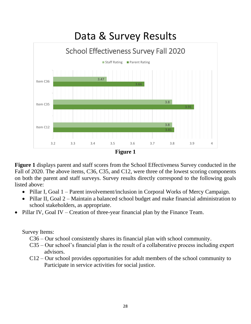

**Figure 1** displays parent and staff scores from the School Effectiveness Survey conducted in the Fall of 2020. The above items, C36, C35, and C12, were three of the lowest scoring components on both the parent and staff surveys. Survey results directly correspond to the following goals listed above:

- Pillar I, Goal 1 Parent involvement/inclusion in Corporal Works of Mercy Campaign.
- Pillar II, Goal 2 Maintain a balanced school budget and make financial administration to school stakeholders, as appropriate.
- Pillar IV, Goal IV Creation of three-year financial plan by the Finance Team.

Survey Items:

C36 – Our school consistently shares its financial plan with school community.

- C35 Our school's financial plan is the result of a collaborative process including expert advisors.
- C12 Our school provides opportunities for adult members of the school community to Participate in service activities for social justice.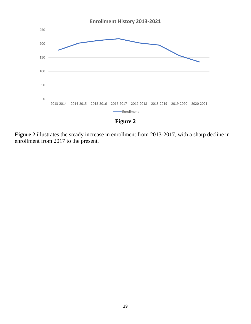

**Figure 2** illustrates the steady increase in enrollment from 2013-2017, with a sharp decline in enrollment from 2017 to the present.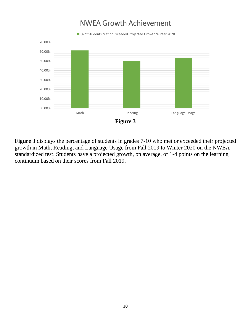

**Figure 3**

**Figure 3** displays the percentage of students in grades 7-10 who met or exceeded their projected growth in Math, Reading, and Language Usage from Fall 2019 to Winter 2020 on the NWEA standardized test. Students have a projected growth, on average, of 1-4 points on the learning continuum based on their scores from Fall 2019.